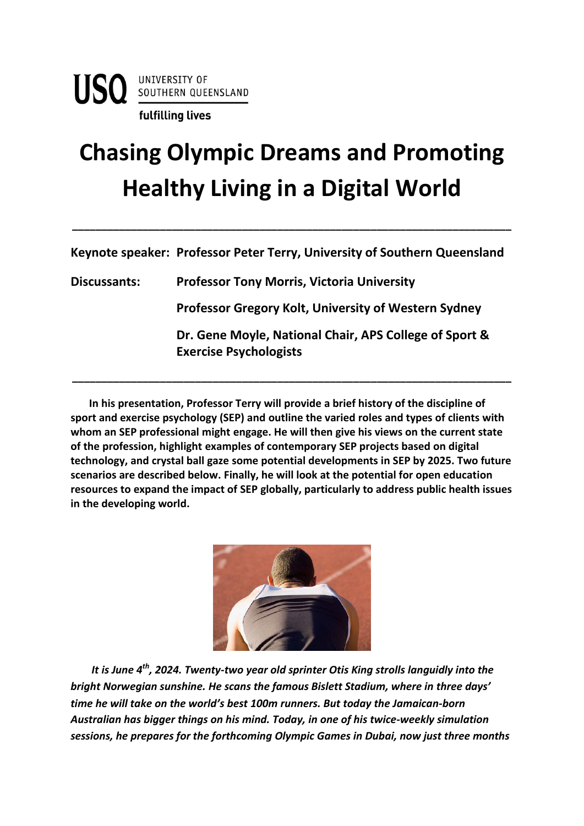## **Chasing Olympic Dreams and Promoting Healthy Living in a Digital World**

**Keynote speaker: Professor Peter Terry, University of Southern Queensland**

**\_\_\_\_\_\_\_\_\_\_\_\_\_\_\_\_\_\_\_\_\_\_\_\_\_\_\_\_\_\_\_\_\_\_\_\_\_\_\_\_\_\_\_\_\_\_\_\_\_\_\_\_\_\_\_\_\_\_\_\_\_\_\_\_\_\_\_\_\_\_\_\_\_\_\_**

**Discussants: Professor Tony Morris, Victoria University Professor Gregory Kolt, University of Western Sydney Dr. Gene Moyle, National Chair, APS College of Sport & Exercise Psychologists**

 **In his presentation, Professor Terry will provide a brief history of the discipline of sport and exercise psychology (SEP) and outline the varied roles and types of clients with whom an SEP professional might engage. He will then give his views on the current state of the profession, highlight examples of contemporary SEP projects based on digital technology, and crystal ball gaze some potential developments in SEP by 2025. Two future scenarios are described below. Finally, he will look at the potential for open education resources to expand the impact of SEP globally, particularly to address public health issues in the developing world.**

**\_\_\_\_\_\_\_\_\_\_\_\_\_\_\_\_\_\_\_\_\_\_\_\_\_\_\_\_\_\_\_\_\_\_\_\_\_\_\_\_\_\_\_\_\_\_\_\_\_\_\_\_\_\_\_\_\_\_\_\_\_\_\_\_\_\_\_\_\_\_\_\_\_\_\_**



*It is June 4th, 2024. Twenty-two year old sprinter Otis King strolls languidly into the bright Norwegian sunshine. He scans the famous Bislett Stadium, where in three days' time he will take on the world's best 100m runners. But today the Jamaican-born Australian has bigger things on his mind. Today, in one of his twice-weekly simulation sessions, he prepares for the forthcoming Olympic Games in Dubai, now just three months*